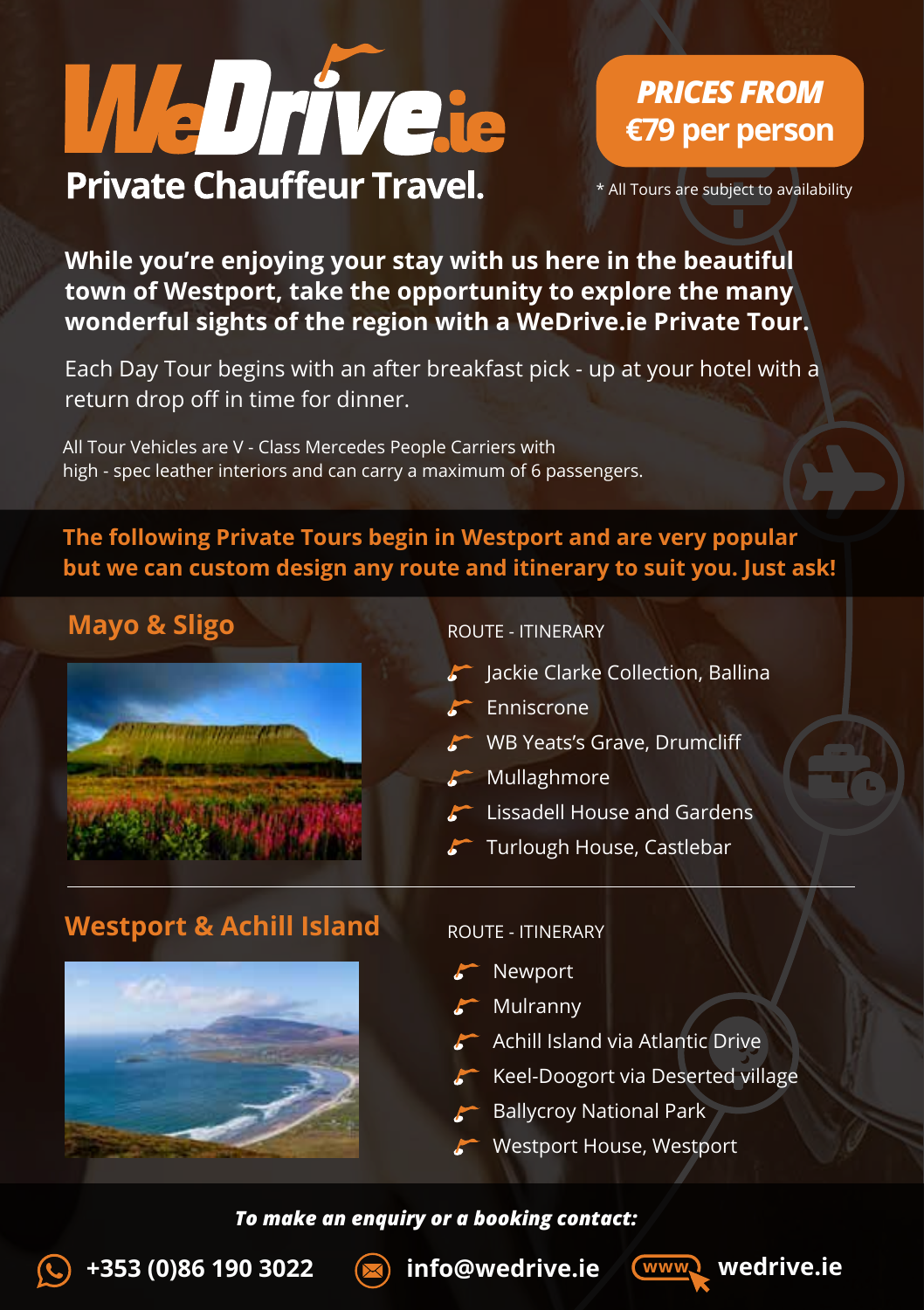

# *PRICES FROM* **€79 per person**

\* All Tours are subject to availability

**While you're enjoying your stay with us here in the beautiful town of Westport, take the opportunity to explore the many wonderful sights of the region with a WeDrive.ie Private Tour.** 

Each Day Tour begins with an after breakfast pick - up at your hotel with a return drop off in time for dinner.

All Tour Vehicles are V - Class Mercedes People Carriers with high - spec leather interiors and can carry a maximum of 6 passengers.

### **The following Private Tours begin in Westport and are very popular but we can custom design any route and itinerary to suit you. Just ask!**

### **Mayo & Sligo**



ROUTE - ITINERARY

- Jackie Clarke Collection, Ballina
- **Enniscrone**
- WB Yeats's Grave, Drumcliff
- $\blacktriangleright$  Mullaghmore
- Lissadell House and Gardens
- Turlough House, Castlebar

### **Westport & Achill Island**



#### ROUTE - ITINERARY

- Newport
- Mulranny
- Achill Island via Atlantic Drive
- Keel-Doogort via Deserted village
- Ballycroy National Park
- Westport House, Westport

#### *To make an enquiry or a booking contact:*

**+353 (0)86 190 3022 info@wedrive.ie www wedrive.ie**